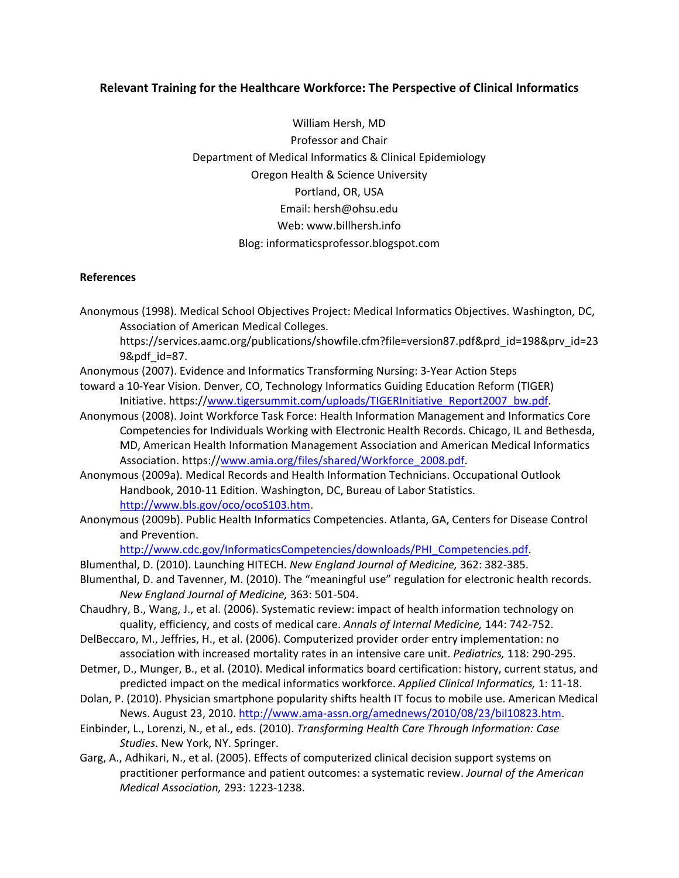### **Relevant Training for the Healthcare Workforce: The Perspective of Clinical Informatics**

William Hersh, MD Professor and Chair Department of Medical Informatics & Clinical Epidemiology Oregon Health & Science University Portland, OR, USA Email: hersh@ohsu.edu Web: www.billhersh.info Blog: informaticsprofessor.blogspot.com

#### **References**

- Anonymous (1998). Medical School Objectives Project: Medical Informatics Objectives. Washington, DC, Association of American Medical Colleges.
	- https://services.aamc.org/publications/showfile.cfm?file=version87.pdf&prd\_id=198&prv\_id=23 9&pdf\_id=87.
- Anonymous (2007). Evidence and Informatics Transforming Nursing: 3‐Year Action Steps
- toward a 10‐Year Vision. Denver, CO, Technology Informatics Guiding Education Reform (TIGER) Initiative. https://www.tigersummit.com/uploads/TIGERInitiative\_Report2007\_bw.pdf.
- Anonymous (2008). Joint Workforce Task Force: Health Information Management and Informatics Core Competencies for Individuals Working with Electronic Health Records. Chicago, IL and Bethesda, MD, American Health Information Management Association and American Medical Informatics Association. https://www.amia.org/files/shared/Workforce\_2008.pdf.
- Anonymous (2009a). Medical Records and Health Information Technicians. Occupational Outlook Handbook, 2010‐11 Edition. Washington, DC, Bureau of Labor Statistics. http://www.bls.gov/oco/ocoS103.htm.
- Anonymous (2009b). Public Health Informatics Competencies. Atlanta, GA, Centers for Disease Control and Prevention.

http://www.cdc.gov/InformaticsCompetencies/downloads/PHI\_Competencies.pdf.

- Blumenthal, D. (2010). Launching HITECH. *New England Journal of Medicine,* 362: 382‐385.
- Blumenthal, D. and Tavenner, M. (2010). The "meaningful use" regulation for electronic health records. *New England Journal of Medicine,* 363: 501‐504.
- Chaudhry, B., Wang, J., et al. (2006). Systematic review: impact of health information technology on quality, efficiency, and costs of medical care. *Annals of Internal Medicine,* 144: 742‐752.
- DelBeccaro, M., Jeffries, H., et al. (2006). Computerized provider order entry implementation: no association with increased mortality rates in an intensive care unit. *Pediatrics,* 118: 290‐295.
- Detmer, D., Munger, B., et al. (2010). Medical informatics board certification: history, current status, and predicted impact on the medical informatics workforce. *Applied Clinical Informatics,* 1: 11‐18.
- Dolan, P. (2010). Physician smartphone popularity shifts health IT focus to mobile use. American Medical News. August 23, 2010. http://www.ama‐assn.org/amednews/2010/08/23/bil10823.htm.
- Einbinder, L., Lorenzi, N., et al., eds. (2010). *Transforming Health Care Through Information: Case Studies*. New York, NY. Springer.
- Garg, A., Adhikari, N., et al. (2005). Effects of computerized clinical decision support systems on practitioner performance and patient outcomes: a systematic review. *Journal of the American Medical Association,* 293: 1223‐1238.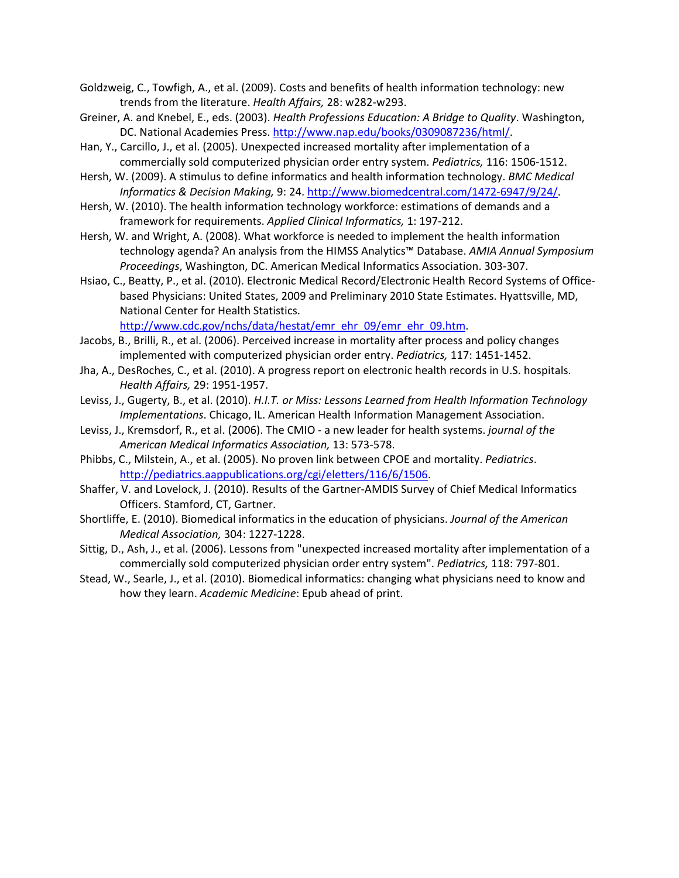Goldzweig, C., Towfigh, A., et al. (2009). Costs and benefits of health information technology: new trends from the literature. *Health Affairs,* 28: w282‐w293.

- Greiner, A. and Knebel, E., eds. (2003). *Health Professions Education: A Bridge to Quality*. Washington, DC. National Academies Press. http://www.nap.edu/books/0309087236/html/.
- Han, Y., Carcillo, J., et al. (2005). Unexpected increased mortality after implementation of a commercially sold computerized physician order entry system. *Pediatrics,* 116: 1506‐1512.
- Hersh, W. (2009). A stimulus to define informatics and health information technology. *BMC Medical Informatics & Decision Making,* 9: 24. http://www.biomedcentral.com/1472‐6947/9/24/.
- Hersh, W. (2010). The health information technology workforce: estimations of demands and a framework for requirements. *Applied Clinical Informatics,* 1: 197‐212.
- Hersh, W. and Wright, A. (2008). What workforce is needed to implement the health information technology agenda? An analysis from the HIMSS Analytics™ Database. *AMIA Annual Symposium Proceedings*, Washington, DC. American Medical Informatics Association. 303‐307.
- Hsiao, C., Beatty, P., et al. (2010). Electronic Medical Record/Electronic Health Record Systems of Office‐ based Physicians: United States, 2009 and Preliminary 2010 State Estimates. Hyattsville, MD, National Center for Health Statistics.

http://www.cdc.gov/nchs/data/hestat/emr\_ehr\_09/emr\_ehr\_09.htm.

- Jacobs, B., Brilli, R., et al. (2006). Perceived increase in mortality after process and policy changes implemented with computerized physician order entry. *Pediatrics,* 117: 1451‐1452.
- Jha, A., DesRoches, C., et al. (2010). A progress report on electronic health records in U.S. hospitals. *Health Affairs,* 29: 1951‐1957.
- Leviss, J., Gugerty, B., et al. (2010). *H.I.T. or Miss: Lessons Learned from Health Information Technology Implementations*. Chicago, IL. American Health Information Management Association.
- Leviss, J., Kremsdorf, R., et al. (2006). The CMIO ‐ a new leader for health systems. *journal of the American Medical Informatics Association,* 13: 573‐578.
- Phibbs, C., Milstein, A., et al. (2005). No proven link between CPOE and mortality. *Pediatrics*. http://pediatrics.aappublications.org/cgi/eletters/116/6/1506.
- Shaffer, V. and Lovelock, J. (2010). Results of the Gartner‐AMDIS Survey of Chief Medical Informatics Officers. Stamford, CT, Gartner.
- Shortliffe, E. (2010). Biomedical informatics in the education of physicians. *Journal of the American Medical Association,* 304: 1227‐1228.
- Sittig, D., Ash, J., et al. (2006). Lessons from "unexpected increased mortality after implementation of a commercially sold computerized physician order entry system". *Pediatrics,* 118: 797‐801.
- Stead, W., Searle, J., et al. (2010). Biomedical informatics: changing what physicians need to know and how they learn. *Academic Medicine*: Epub ahead of print.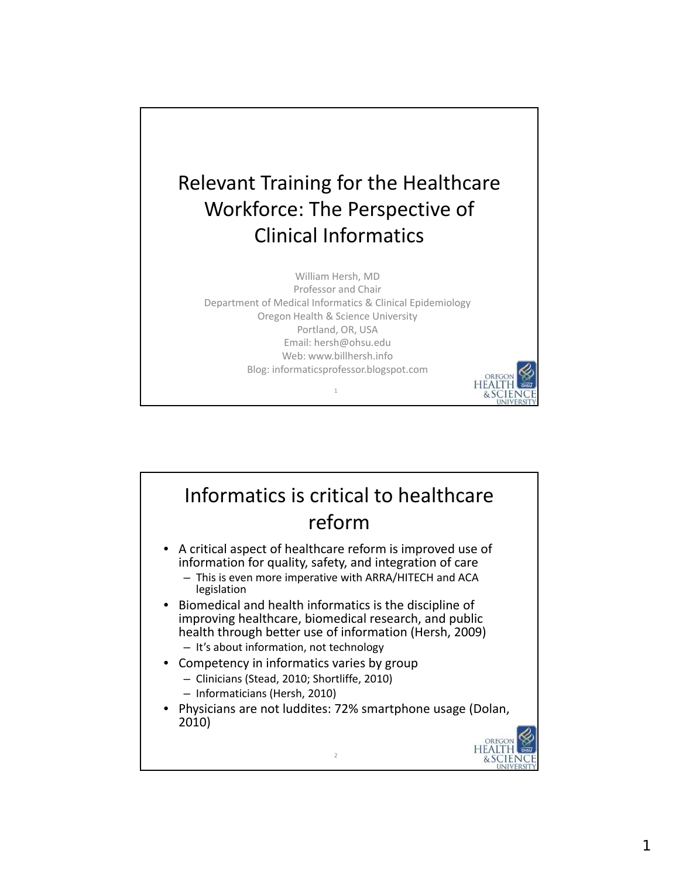

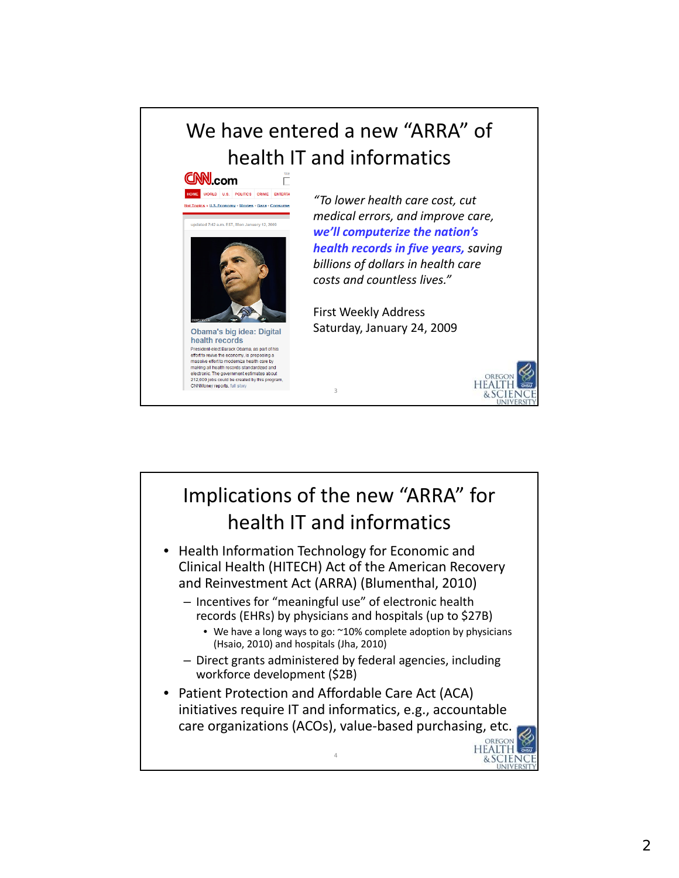# We have entered a new "ARRA" of **nealth IT and informatics**<br> **CNN.com**



making all health records standardized and electronic. The government estimates about<br>212,000 jobs could be created by this program,

CNNMoney reports, full story

*"To lower health care cost, cut medical errors, and improve care, we'll computerize the nation's health records in five years, saving billions of dollars in health care costs and countless lives."*

First Weekly Address Saturday, January 24, 2009



OREGON **HEALTH** & SCIENCE

## Implications of the new "ARRA" for health IT and informatics

3

- Health Information Technology for Economic and Clinical Health (HITECH) Act of the American Recovery and Reinvestment Act (ARRA) (Blumenthal, 2010)
	- Incentives for "meaningful use" of electronic health records (EHRs) by physicians and hospitals (up to \$27B)
		- We have a long ways to go: ~10% complete adoption by physicians (Hsaio, 2010) and hospitals (Jha, 2010)
	- Direct grants administered by federal agencies, including workforce development (\$2B)
- Patient Protection and Affordable Care Act (ACA) initiatives require IT and informatics, e.g., accountable care organizations (ACOs), value‐based purchasing, etc.

4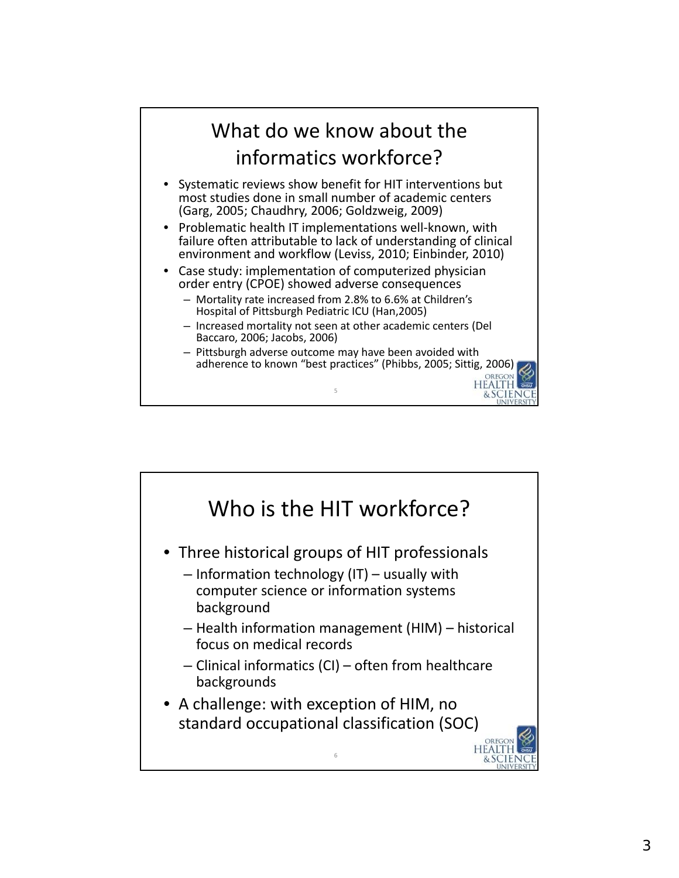### What do we know about the informatics workforce?

- Systematic reviews show benefit for HIT interventions but most studies done in small number of academic centers (Garg, 2005; Chaudhry, 2006; Goldzweig, 2009)
- Problematic health IT implementations well-known, with failure often attributable to lack of understanding of clinical environment and workflow (Leviss, 2010; Einbinder, 2010)
- Case study: implementation of computerized physician order entry (CPOE) showed adverse consequences
	- Mortality rate increased from 2.8% to 6.6% at Children's Hospital of Pittsburgh Pediatric ICU (Han,2005)
	- Increased mortality not seen at other academic centers (Del Baccaro, 2006; Jacobs, 2006)

5

– Pittsburgh adverse outcome may have been avoided with adherence to known "best practices" (Phibbs, 2005; Sittig, 2006)

> **IFAITH** & SCIENCE

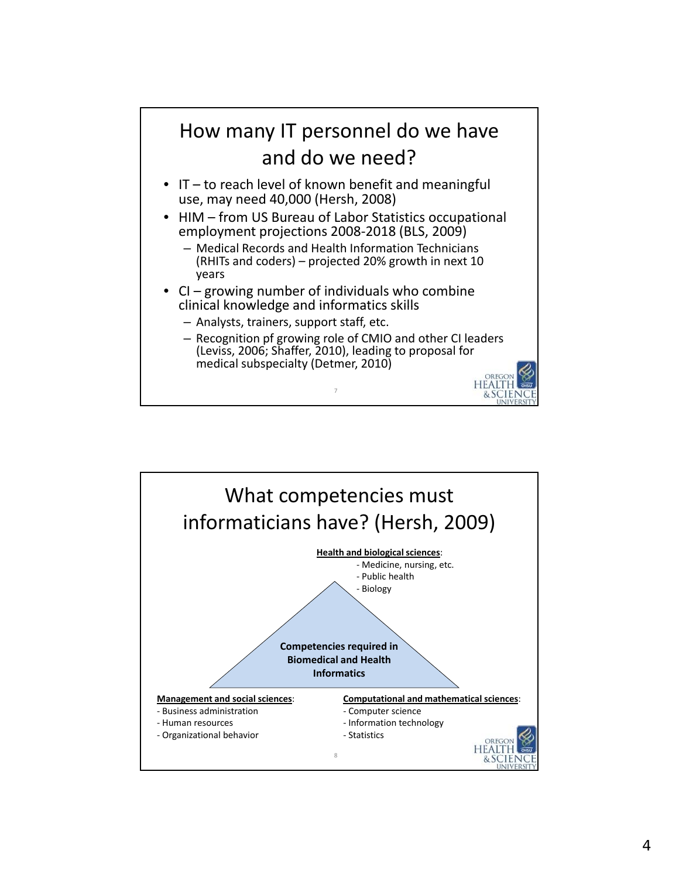

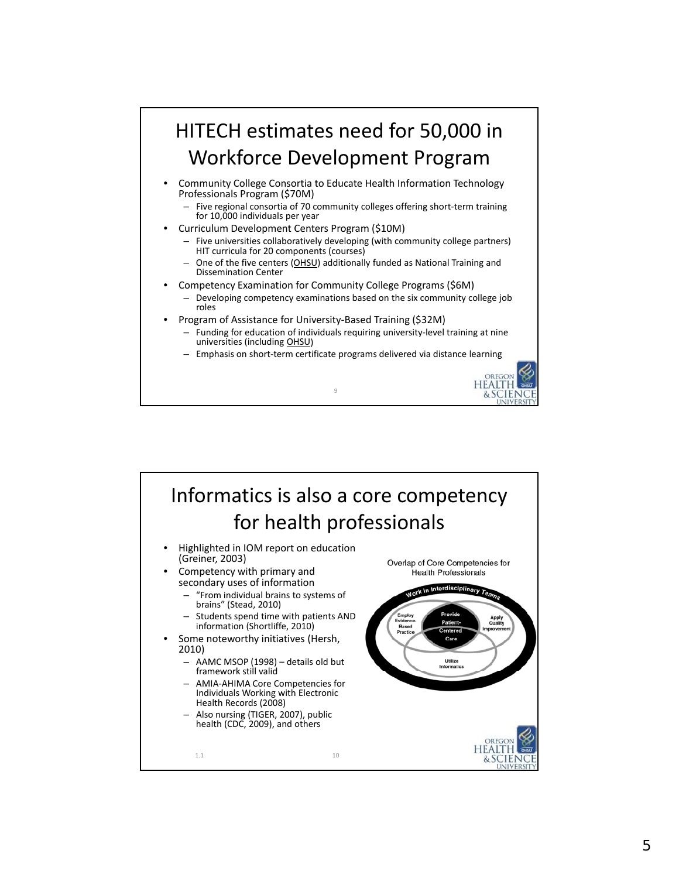

9

**HEALTH** & SCIENCE